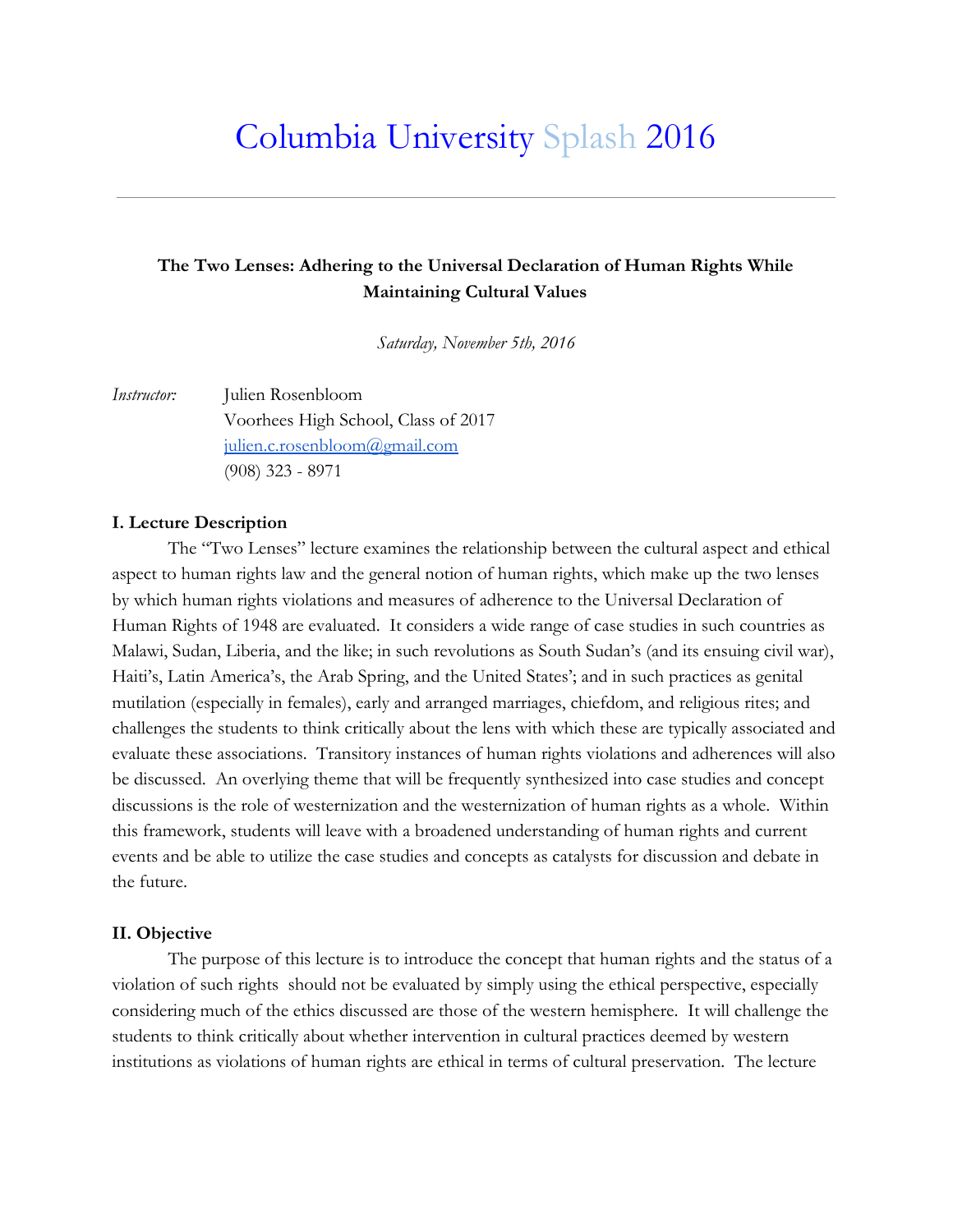# Columbia University Splash 2016

## **The Two Lenses: Adhering to the Universal Declaration of Human Rights While Maintaining Cultural Values**

*Saturday, November 5th, 2016*

*Instructor:* Julien Rosenbloom Voorhees High School, Class of 2017 [julien.c.rosenbloom@gmail.com](mailto:julien.c.rosenbloom@gmail.com) (908) 323 - 8971

#### **I. Lecture Description**

The "Two Lenses" lecture examines the relationship between the cultural aspect and ethical aspect to human rights law and the general notion of human rights, which make up the two lenses by which human rights violations and measures of adherence to the Universal Declaration of Human Rights of 1948 are evaluated. It considers a wide range of case studies in such countries as Malawi, Sudan, Liberia, and the like; in such revolutions as South Sudan's (and its ensuing civil war), Haiti's, Latin America's, the Arab Spring, and the United States'; and in such practices as genital mutilation (especially in females), early and arranged marriages, chiefdom, and religious rites; and challenges the students to think critically about the lens with which these are typically associated and evaluate these associations. Transitory instances of human rights violations and adherences will also be discussed. An overlying theme that will be frequently synthesized into case studies and concept discussions is the role of westernization and the westernization of human rights as a whole. Within this framework, students will leave with a broadened understanding of human rights and current events and be able to utilize the case studies and concepts as catalysts for discussion and debate in the future.

#### **II. Objective**

The purpose of this lecture is to introduce the concept that human rights and the status of a violation of such rights should not be evaluated by simply using the ethical perspective, especially considering much of the ethics discussed are those of the western hemisphere. It will challenge the students to think critically about whether intervention in cultural practices deemed by western institutions as violations of human rights are ethical in terms of cultural preservation. The lecture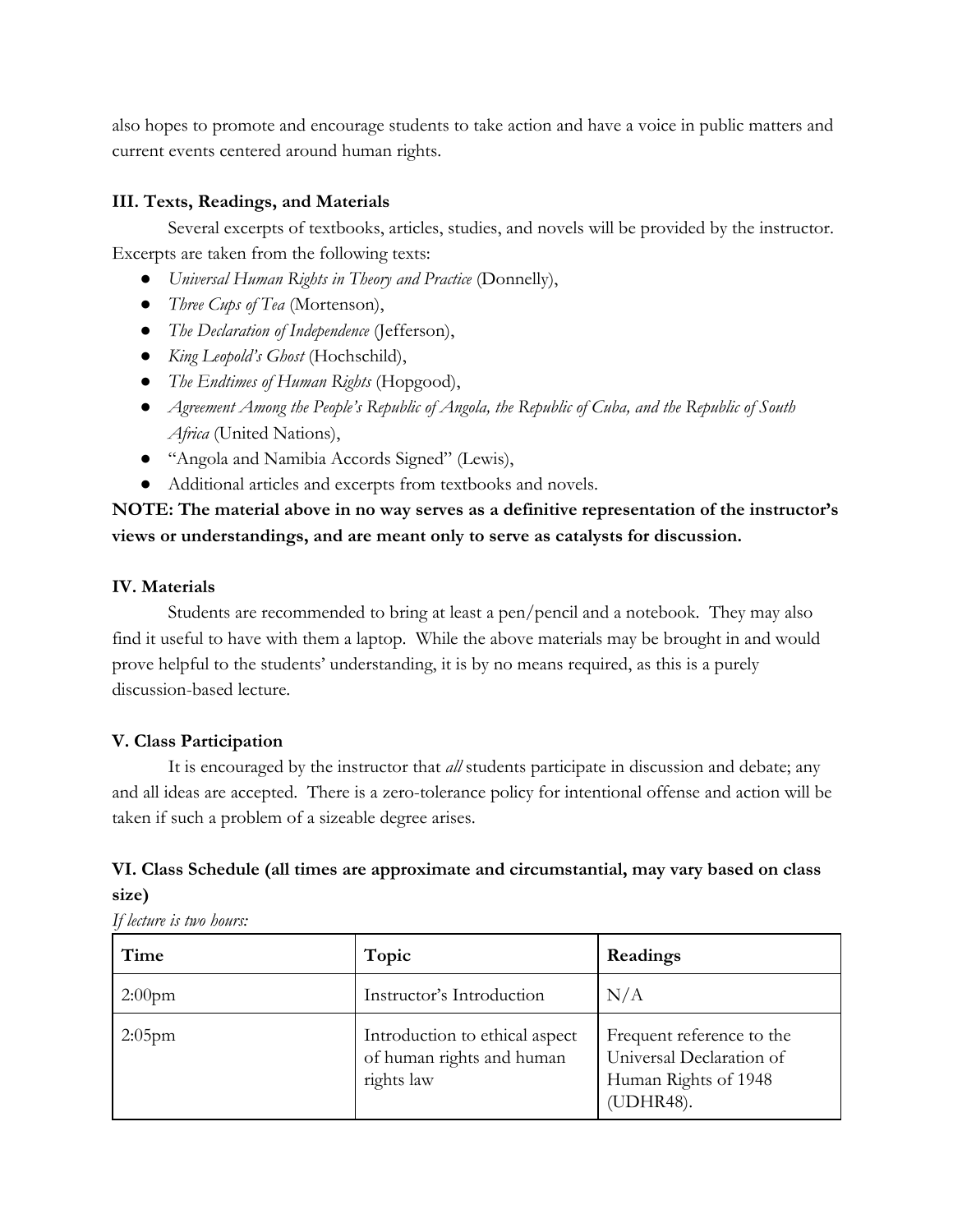also hopes to promote and encourage students to take action and have a voice in public matters and current events centered around human rights.

### **III. Texts, Readings, and Materials**

Several excerpts of textbooks, articles, studies, and novels will be provided by the instructor. Excerpts are taken from the following texts:

- *Universal Human Rights in Theory and Practice* (Donnelly),
- *Three Cups of Tea* (Mortenson),
- *The Declaration of Independence* (Jefferson),
- *King Leopold's Ghost* (Hochschild),
- *● The Endtimes of Human Rights* (Hopgood),
- *● Agreement Among the People's Republic of Angola, the Republic of Cuba, and the Republic of South Africa* (United Nations),
- "Angola and Namibia Accords Signed" (Lewis),
- Additional articles and excerpts from textbooks and novels.

# **NOTE: The material above in no way serves as a definitive representation of the instructor's views or understandings, and are meant only to serve as catalysts for discussion.**

#### **IV. Materials**

Students are recommended to bring at least a pen/pencil and a notebook. They may also find it useful to have with them a laptop. While the above materials may be brought in and would prove helpful to the students' understanding, it is by no means required, as this is a purely discussion-based lecture.

#### **V. Class Participation**

It is encouraged by the instructor that *all* students participate in discussion and debate; any and all ideas are accepted. There is a zero-tolerance policy for intentional offense and action will be taken if such a problem of a sizeable degree arises.

## **VI. Class Schedule (all times are approximate and circumstantial, may vary based on class size)**

*If lecture is two hours:*

| Time      | Topic                                                                     | Readings                                                                                   |
|-----------|---------------------------------------------------------------------------|--------------------------------------------------------------------------------------------|
| $2:00$ pm | Instructor's Introduction                                                 | N/A                                                                                        |
| $2:05$ pm | Introduction to ethical aspect<br>of human rights and human<br>rights law | Frequent reference to the<br>Universal Declaration of<br>Human Rights of 1948<br>(UDHR48). |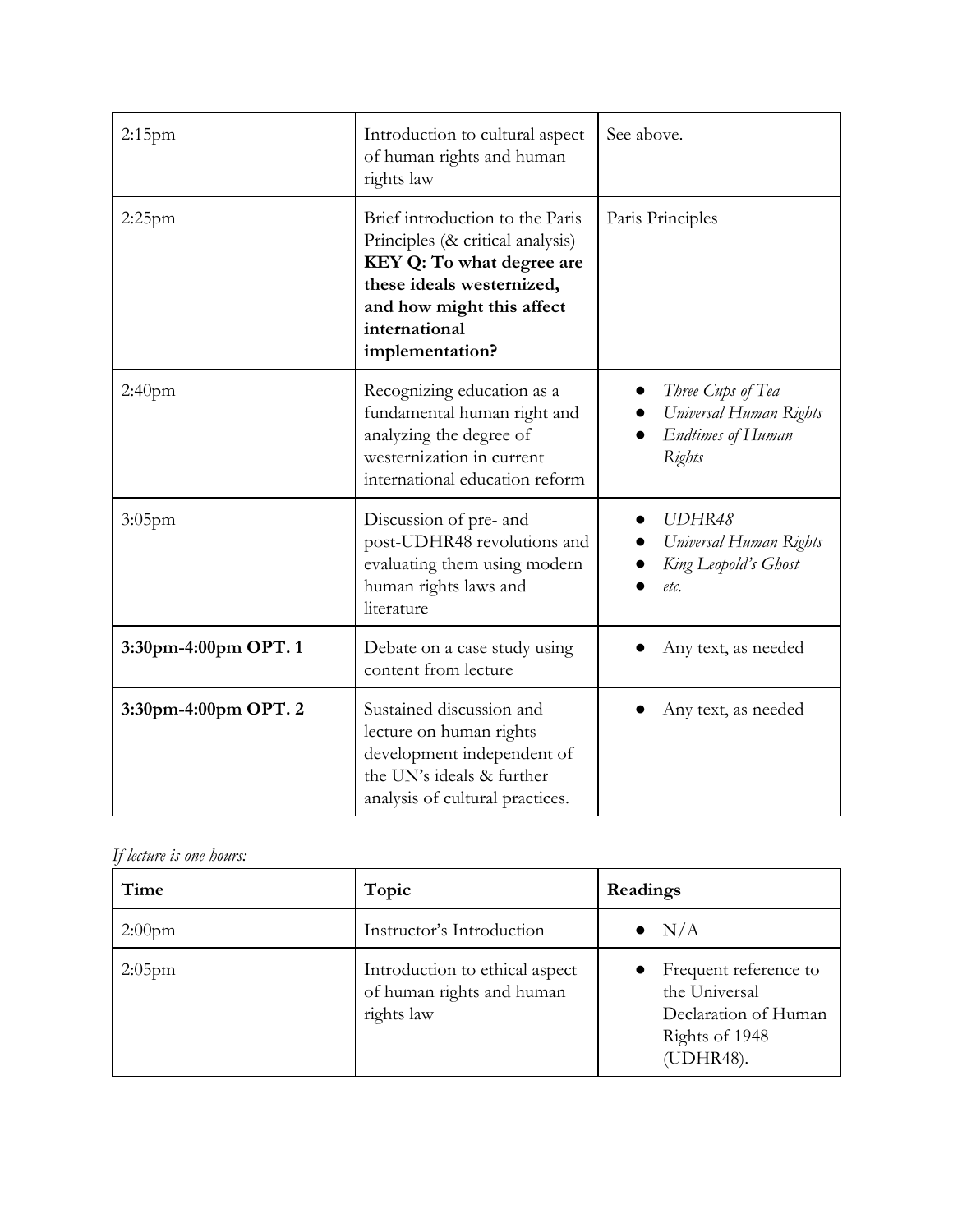| $2:15$ pm            | Introduction to cultural aspect<br>of human rights and human<br>rights law                                                                                                                     | See above.                                                                        |
|----------------------|------------------------------------------------------------------------------------------------------------------------------------------------------------------------------------------------|-----------------------------------------------------------------------------------|
| $2:25$ pm            | Brief introduction to the Paris<br>Principles (& critical analysis)<br>KEY Q: To what degree are<br>these ideals westernized,<br>and how might this affect<br>international<br>implementation? | Paris Principles                                                                  |
| 2:40 <sub>pm</sub>   | Recognizing education as a<br>fundamental human right and<br>analyzing the degree of<br>westernization in current<br>international education reform                                            | Three Cups of Tea<br>Universal Human Rights<br><b>Endtimes of Human</b><br>Rights |
| 3:05pm               | Discussion of pre- and<br>post-UDHR48 revolutions and<br>evaluating them using modern<br>human rights laws and<br>literature                                                                   | UDHR48<br>Universal Human Rights<br>King Leopold's Ghost<br>etc.                  |
| 3:30pm-4:00pm OPT. 1 | Debate on a case study using<br>content from lecture                                                                                                                                           | Any text, as needed                                                               |
| 3:30pm-4:00pm OPT. 2 | Sustained discussion and<br>lecture on human rights<br>development independent of<br>the UN's ideals & further<br>analysis of cultural practices.                                              | Any text, as needed                                                               |

# *If lecture is one hours:*

| Time      | Topic                                                                     | Readings                                                                                      |
|-----------|---------------------------------------------------------------------------|-----------------------------------------------------------------------------------------------|
| $2:00$ pm | Instructor's Introduction                                                 | $\bullet$ N/A                                                                                 |
| $2:05$ pm | Introduction to ethical aspect<br>of human rights and human<br>rights law | Frequent reference to<br>the Universal<br>Declaration of Human<br>Rights of 1948<br>(UDHR48). |